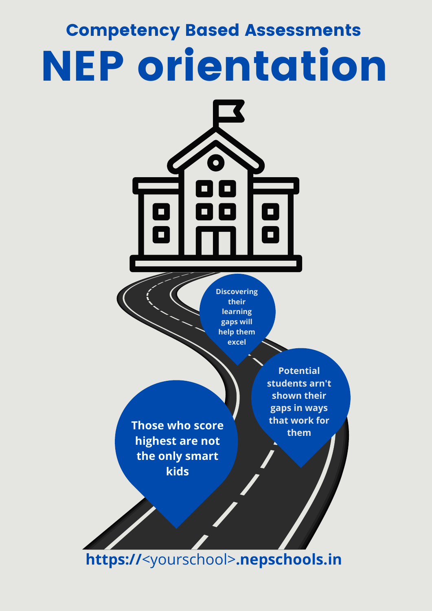## Competency Based Assessments NEP orientation



**learning gaps will help them excel**

**Those who score highest are not the only smart kids**

**Potential students arn't shown their gaps in ways that work for them**

**https://**<yourschool>**.nepschools.in**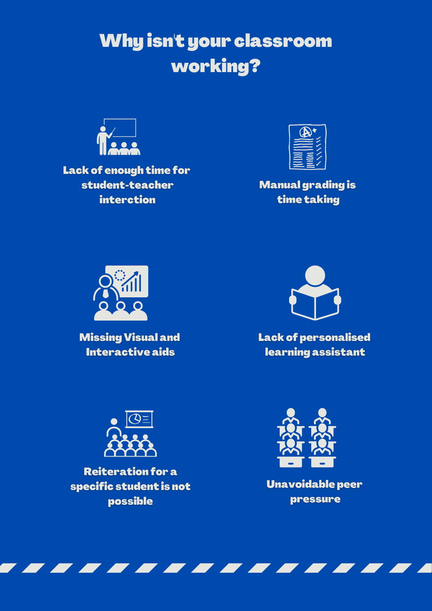### Why isn't your classroom working?



Lack of enough time for student-teacher **interction** 



**Manual grading is** time taking



**Missing Visual and Interactive aids** 



**Lack of personalised** learning assistant



**Reiteration for a** specific student is not possible



Unavoidable peer pressure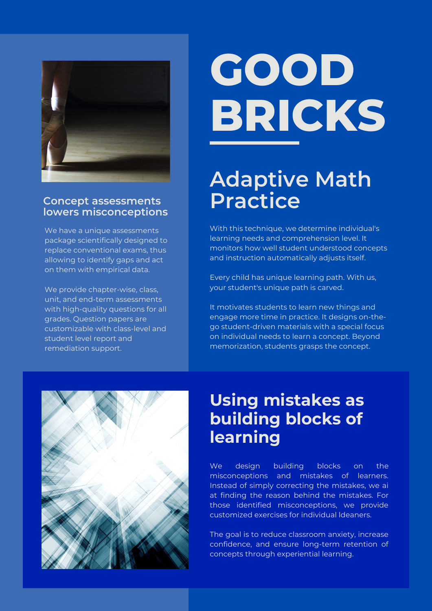

#### **Concept assessments lowers misconceptions**

We have a unique assessments package scientifically designed to replace conventional exams, thus allowing to identify gaps and act on them with empirical data.

We provide chapter-wise, class, unit, and end-term assessments with high-quality questions for all grades. Question papers are customizable with class-level and student level report and remediation support.

# **GOOD BRICKS**

### **Adaptive Math Practice**

With this technique, we determine individual's learning needs and comprehension level. It monitors how well student understood concepts and instruction automatically adjusts itself.

Every child has unique learning path. With us, your student's unique path is carved.

It motivates students to learn new things and engage more time in practice. It designs on-thego student-driven materials with a special focus on individual needs to learn a concept. Beyond memorization, students grasps the concept.



### **Using mistakes as building blocks of learning**

We design building blocks on the misconceptions and mistakes of learners. Instead of simply correcting the mistakes, we ai at finding the reason behind the mistakes. For those identified misconceptions, we provide customized exercises for individual ldeaners.

The goal is to reduce classroom anxiety, increase confidence, and ensure long-term retention of concepts through experiential learning.